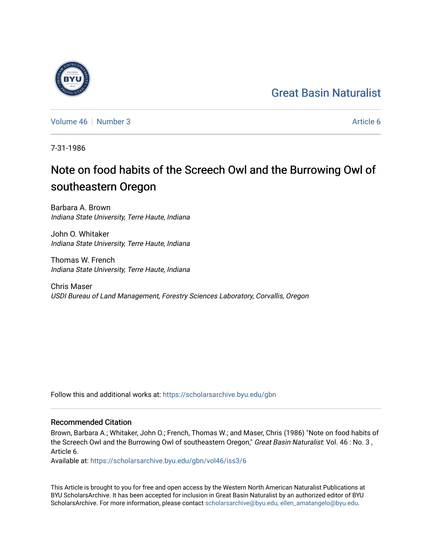## [Great Basin Naturalist](https://scholarsarchive.byu.edu/gbn)



[Volume 46](https://scholarsarchive.byu.edu/gbn/vol46) [Number 3](https://scholarsarchive.byu.edu/gbn/vol46/iss3) Article 6

7-31-1986

# Note on food habits of the Screech Owl and the Burrowing Owl of southeastern Oregon

Barbara A. Brown Indiana State University, Terre Haute, Indiana

John O. Whitaker Indiana State University, Terre Haute, Indiana

Thomas W. French Indiana State University, Terre Haute, Indiana

Chris Maser USDI Bureau of Land Management, Forestry Sciences Laboratory, Corvallis, Oregon

Follow this and additional works at: [https://scholarsarchive.byu.edu/gbn](https://scholarsarchive.byu.edu/gbn?utm_source=scholarsarchive.byu.edu%2Fgbn%2Fvol46%2Fiss3%2F6&utm_medium=PDF&utm_campaign=PDFCoverPages) 

### Recommended Citation

Brown, Barbara A.; Whitaker, John O.; French, Thomas W.; and Maser, Chris (1986) "Note on food habits of the Screech Owl and the Burrowing Owl of southeastern Oregon," Great Basin Naturalist: Vol. 46 : No. 3, Article 6.

Available at: [https://scholarsarchive.byu.edu/gbn/vol46/iss3/6](https://scholarsarchive.byu.edu/gbn/vol46/iss3/6?utm_source=scholarsarchive.byu.edu%2Fgbn%2Fvol46%2Fiss3%2F6&utm_medium=PDF&utm_campaign=PDFCoverPages)

This Article is brought to you for free and open access by the Western North American Naturalist Publications at BYU ScholarsArchive. It has been accepted for inclusion in Great Basin Naturalist by an authorized editor of BYU ScholarsArchive. For more information, please contact [scholarsarchive@byu.edu, ellen\\_amatangelo@byu.edu.](mailto:scholarsarchive@byu.edu,%20ellen_amatangelo@byu.edu)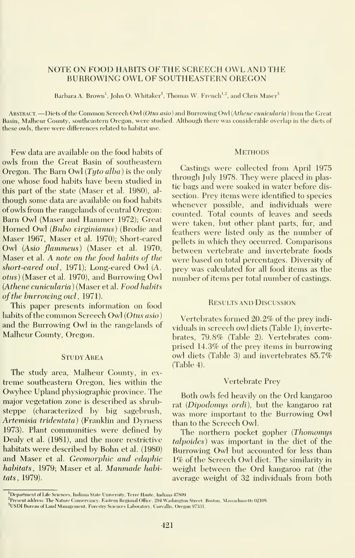#### NOTE ON FOOD HABITS OF THE SCREECH OWL AND THE BURROWING OWL OF SOUTHEASTERN OREGON

Barbara A. Brown<sup>1</sup>, John O. Whitaker<sup>1</sup>, Thomas W. French<sup>1,2</sup>, and Chris Maser<sup>3</sup>

ABSTRACT. - Diets of the Common Screech Owl (Otus asio) and Burrowing Owl (Athene cunicularia) from the Great Basin, Malheur County, southeastern Oregon, were studied. Although there was considerable overlap in the diets of these owls, there were differences related to habitat use.

Few data are available on the food habits of owls from the Great Basin of southeastern Oregon. The Barn Owl  $(Tyto alba)$  is the only one whose food habits have been studied in this part of the state (Maser et al. 1980), al though some data are available on food habits of owls from the rangelands of central Oregon: Barn Owl (Maser and Hammer 1972); Great Horned Owl (Bubo virginianus) (Brodie and Maser 1967, Maser et al. 1970); Short-eared Owl {Asio flammeus) (Maser et al. 1970; Maser et al. A note on the food habits of the short-eared owl, 1971); Long-eared Owl (A. otiis) (Maser et al. 1970), and Burrowing Owl {Athene cunicularia ) (Maser et al. Food habits of the burrowing owl, 1971).

This paper presents information on food habits of the common Screech Owl (Otus asio) and the Burrowing Owl in the rangelands of Malheur County, Oregon.

#### **STUDY AREA**

The study area, Malheur County, in ex treme southeastern Oregon, lies within the Owyhee Upland physiographic province. The major vegetation zone is described as shrub steppe (characterized by big sagebrush, Artemisia tridentata) (Franklin and Dyrness 1973). Plant communities were defined by Dealy et al. (1981), and the more restrictive habitats were described by Bohn et al. (1980) and Maser et al. Geomorphic and edaphic habitats, 1979; Maser et al. Manmade habitats, 1979).

#### **METHODS**

Castings were collected from April 1975 through July 1978. They were placed in plastic bags and were soaked in water before dis section. Prey items were identified to species whenever possible, and individuals were counted. Total counts of leaves and seeds were taken, but other plant parts, fur, and feathers were listed only as the number of pellets in which they occurred. Comparisons between vertebrate and invertebrate foods were based on total percentages. Diversity of prey was calculated for all food items as the number of items per total number of castings.

#### Results and Discussion

Vertebrates formed 20.2% of the prey indi viduals in screech owl diets (Table 1); invertebrates, 79.8% (Table 2). Vertebrates comprised 14.3% of the prey items in burrowing owl diets (Table 3) and invertebrates 85.7% (Table 4).

#### Vertebrate Prey

Both owls fed heavily on the Ord kangaroo rat (Dipodomys ordi), but the kangaroo rat was more important to the Burrowing Owl than to the Screech Owl.

The northern pocket gopher (Thomomys talpoides) was important in the diet of the Burrowing Owl but accounted for less than 1% of the Screech Owl diet. The similarity in weight between the Ord kangaroo rat (the average weight of 32 individuals from both

<sup>&</sup>lt;sup>1</sup>Department of Life Sciences, Indiana State University, Terre Haute, Indiana 47809.

 $^{2}$ Present address: The Nature Conservancy, Eastern Regional Office, 294 Washington Street, Boston, Massachusetts 02108

<sup>&</sup>lt;sup>3</sup>USDI Bureau of Land Management, Forestry Sciences Laboratory, Corvallis, Oregon 97331.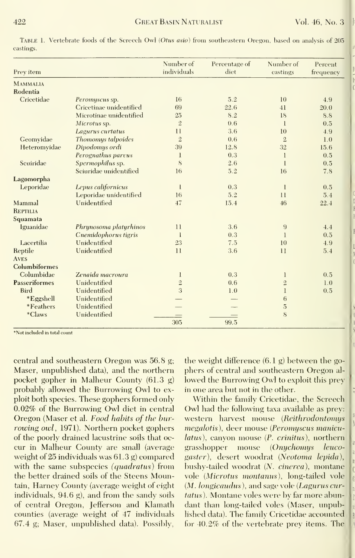|                      |                         | Number of<br>individuals | Percentage of | Number of      | Percent   |
|----------------------|-------------------------|--------------------------|---------------|----------------|-----------|
| Prev item            |                         |                          | diet          | castings       | frequency |
| <b>MAMMALIA</b>      |                         |                          |               |                |           |
| Rodentia             |                         |                          |               |                |           |
| Cricetidae           | Peromyscus sp.          | 16                       | 5.2           | 10             | 4.9       |
|                      | Cricetinae unidentified | 69                       | 22.6          | 41             | 20.0      |
|                      | Microtinae unidentified | 25                       | 8.2           | 18             | 8.8       |
|                      | Microtus sp.            | $\overline{2}$           | 0.6           | $\mathbf{1}$   | 0.5       |
|                      | Lagurus curtatus        | 11                       | 3.6           | 10             | 4.9       |
| Geomvidae            | Thomomys talpoides      | $\overline{2}$           | 0.6           | $\overline{2}$ | 1.0       |
| Heteromyidae         | Dipodomys ordi          | 39                       | 12.8          | 32             | 15.6      |
|                      | Perognathus parvus      | 1                        | 0.3           | 1              | 0.5       |
| Seniridae            | Spermophilus sp.        | 8                        | 2.6           | $\mathbf{1}$   | 0.5       |
|                      | Sciuridae unidentified  | 16                       | 5.2           | 16             | 7.8       |
| Lagomorpha           |                         |                          |               |                |           |
| Leporidae            | Lepus californicus      | 1                        | 0.3           | 1              | 0.5       |
|                      | Leporidae unidentified  | 16                       | 5.2           | 11             | 5.4       |
| Mammal               | Unidentified            | 47                       | 15.4          | 46             | 22.4      |
| <b>REPTILIA</b>      |                         |                          |               |                |           |
| Squamata             |                         |                          |               |                |           |
| lguanidae            | Phrynosoma platyrhinos  | 11                       | 3.6           | 9              | 4.4       |
|                      | Cnemidophorus tigris    | 1                        | 0.3           | 1              | 0.5       |
| Lacertilia           | Unidentified            | 23                       | 7.5           | 10             | 4.9       |
| Reptile              | Unidentified            | $\mathbf{1}$             | 3.6           | 11             | 5.4       |
| <b>AVES</b>          |                         |                          |               |                |           |
| Columbiformes        |                         |                          |               |                |           |
| Columbidae           | Zenaida macroura        | 1                        | 0.3           | 1              | 0.5       |
| <b>Passeriformes</b> | Unidentified            | $\overline{2}$           | 0.6           | $\overline{2}$ | 1.0       |
| <b>Bird</b>          | Unidentified            | 3                        | 1.0           | 1              | 0.5       |
| *Eggshell            | Unidentified            |                          |               | 6              |           |
| *Feathers            | Unidentified            |                          |               | $\overline{5}$ |           |
| *Claws               | Unidentified            |                          |               | 8              |           |
|                      |                         | 305                      | 99.5          |                |           |

Table 1. Vertebrate foods of the Screech Owl (Otus asio) from southeastern Oregon, based on analysis of 205 castings.

\*Not included in total count

central and southeastern Oregon was 56.8 g; Maser, unpublished data), and the northern pocket gopher in Malheur County (61.3 g) probably allowed the Burrowing Owl to exploit both species. These gophers formed only 0.02% of the Burrowing Owl diet in central Oregon (Maser et al. Food habits of the burrowing owl, 1971). Northern pocket gophers of the poorly drained lacustrine soils that occur in Malheur County are small (average weight of  $25$  individuals was  $61.3$  g) compared with the same subspecies (quadratus) from the better drained soils of the Steens Mountain, Harney County (average weight of eight individuals, 94.6 g), and from the sandy soils of central Oregon. Jefferson and Klamath counties (average weight of 47 individuals 67.4 g; Maser, unpublished data). Possibly,

the weight difference  $(6.1 g)$  between the gophers of central and southeastern Oregon allowed the Burrowing Owl to exploit this prev in one area but not in the other.

Within the family Cricetidae, the Screech Owl had the following taxa available as prev: western harvest mouse (Reithrodontomys megalotis), deer mouse (Peromyscus manicu*latus*), canyon mouse (*P. crinitus*), northern grasshopper mouse (Onychomys leucogaster), desert woodrat (Neotoma lepida), bushy-tailed woodrat (N. cinerea), montane vole (Microtus montanus), long-tailed vole (M. longicaudus), and sage vole (Lagurus curtatus). Montane voles were by far more abundant than long-tailed voles (Maser, unpublished data). The family Cricetidae accounted for 40.2% of the vertebrate prev items. The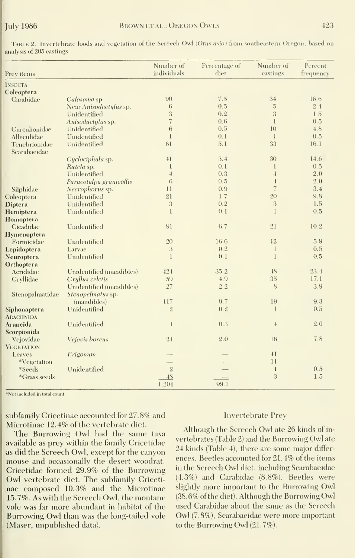| Prev items         |                          | Number of<br>individuals | Percentage of<br>diet | Number of<br>castings | Percent<br>frequency |
|--------------------|--------------------------|--------------------------|-----------------------|-----------------------|----------------------|
| <b>INSECTA</b>     |                          |                          |                       |                       |                      |
| Coleoptera         |                          |                          |                       |                       |                      |
| Carabidae          | Calosoma sp.             | 90                       | 7.5                   | $3-4$                 | 16.6                 |
|                    | Near Anisodactylus sp.   | 6                        | 0.5                   | $\overline{5}$        | 2.4                  |
|                    | Unidentified             | 3                        | 0.2                   | 3                     | 1.5                  |
|                    | Anisodactylus sp.        | $\overline{7}$           | 0.6                   | $\mathbf{1}$          | 0.5                  |
| Curculionidae      | Unidentified             | 6                        | 0.5                   | 10                    | 4.8                  |
| Alleculidae        | Unidentified             | $\mathbf{I}$             | 0.1                   | $\mathbf{1}$          | 0.5                  |
| Tenebrionidae      | Unidentified             | 61                       | 5.1                   | 33                    | 16.1                 |
| Scarabaeidae       |                          |                          |                       |                       |                      |
|                    | Cyclociphala sp.         | 41                       | 3.4                   | 30                    | 14.6                 |
|                    | Rutela sp.               | $\mathbf{1}$             | 0.1                   | 1                     | 0.5                  |
|                    | Unidentified             | $\overline{1}$           | 0.3                   | $\overline{4}$        | 2.0                  |
|                    | Paracotalpa granicollis  | 6                        | 0.5                   | $\overline{4}$        | 2.0                  |
| Silphidae          | Necrophorus sp.          | 11                       | 0.9                   | $\overline{7}$        | 3.4                  |
| Coleoptera         | Unidentified             | 21                       | 1.7                   | 20                    | 9.8                  |
| <b>Diptera</b>     | Unidentified             | 3                        | 0.2                   | 3                     | 1.5                  |
| Hemiptera          | Unidentified             | $\mathbf{I}$             | 0.1                   | $\mathbf{I}$          | 0.5                  |
| Homoptera          |                          |                          |                       |                       |                      |
| Cicadidae          | Unidentified             | 81                       | 6.7                   | 21                    | 10.2                 |
| <b>Hymenoptera</b> |                          |                          |                       |                       |                      |
| Formicidae         | Unidentified             | 20                       | 16.6                  | 12                    | 5.9                  |
| Lepidoptera        | Larvae                   | 3                        | 0.2                   | $\bf{l}$              | 0.5                  |
| Neuroptera         | Unidentified             | $\mathbf{1}$             | 0.1                   | $\mathbf{1}$          | 0.5                  |
| Orthoptera         |                          |                          |                       |                       |                      |
| Acrididae          | Unidentified (mandibles) | 424                      | 35.2                  | 48                    | 23.4                 |
| Gryllidae          | Grullus veletis          | 59                       | 4.9                   | 35                    | 17.1                 |
|                    | Unidentified (mandibles) | 27                       | 2.2                   | 8                     | 3.9                  |
|                    | Stenopelmatus sp.        |                          |                       |                       |                      |
| Stenopalmatidae    |                          | 117                      | 9.7                   | 19                    | 9.3                  |
|                    | (mandibles)              | $\overline{2}$           | 0.2                   | $\bf{I}$              | 0.5                  |
| Siphonaptera       | Unidentified             |                          |                       |                       |                      |
| <b>ARACHNIDA</b>   |                          |                          |                       |                       |                      |
| Araneida           | Unidentified             | $\overline{4}$           | 0.3                   | $\overline{4}$        | 2.0                  |
| Scorpionida        |                          |                          |                       |                       |                      |
| Vejovidae          | Vejovis boreus           | 2.4                      | 2.0                   | 16                    | 7.8                  |
| <b>VEGETATION</b>  |                          |                          |                       |                       |                      |
| Leaves             | Erigonum                 |                          |                       | 41                    |                      |
| *Vegetation        |                          |                          |                       | 11                    |                      |
| *Seeds             | Unidentified             | $\sqrt{2}$               |                       | 1                     | 0.5                  |
| *Grass seeds       |                          | 48                       |                       | 3                     | 1.5                  |
|                    |                          | 1.004                    | $00 \pi$              |                       |                      |

 $\rm{F_ABLE\ 2.}$  Invertebrate foods and vegetation of the Screech Owl (*Otus asio)* from southeastern Oregon, based on analysis of 205 castings.

\*Not included in total count

subfamily Cricetinae accounted for 27.8% and Microtinae 12.4% of the vertebrate diet.

The Burrowing Owl had the same taxa available as prey within the family Cricetidae as did the Screech Owl, except for the canyon mouse and occasionally the desert woodrat. Cricetidae formed 29.9% of the Burrowing Owl vertebrate diet. The subfamily Cricetinae composed 10.3% and the Microtinae 15.7%. As with the Screech Owl, the montane vole was far more abundant in habitat of the Burrowing Owl than was the long-tailed vole (Maser, unpublished data).

#### **Invertebrate Prey**

Although the Screech Owl ate 26 kinds of invertebrates (Table 2) and the Burrowing Owl ate 24 kinds (Table 4), there are some major differences. Beetles accounted for 21.4% of the items in the Screech Owl diet, including Scarabaeidae  $(4.3\%)$  and Carabidae  $(8.8\%)$ . Beetles were slightly more important to the Burrowing Owl (38.6% of the diet). Although the Burrowing Owl used Carabidae about the same as the Screech Owl (7.8%), Scarabaeidae were more important to the Burrowing Owl (21.7%).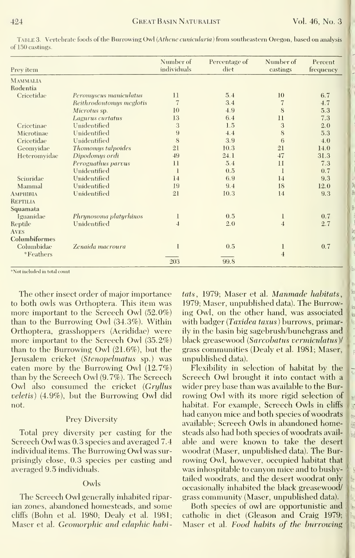| Prey item       |                          | Number of<br>individuals | Percentage of<br>diet | Number of<br>castings | Percent<br>frequency |
|-----------------|--------------------------|--------------------------|-----------------------|-----------------------|----------------------|
| <b>MAMMALIA</b> |                          |                          |                       |                       |                      |
| Rodentia        |                          |                          |                       |                       |                      |
| Cricetidae      | Peromyscus maniculatus   | 11                       | 5.4                   | 10                    | 6.7                  |
|                 | Reithrodontomys meglotis | 7                        | 3.4                   | 7                     | 4.7                  |
|                 | Microtus sp.             | 10                       | 4.9                   | 8                     | 5.3                  |
|                 | Lagurus curtatus         | 13                       | 6.4                   | $_{11}$               | 7.3                  |
| Cricetinae      | Unidentified             | 3                        | 1.5                   | 3                     | 2.0                  |
| Microtinae      | Unidentified             | 9                        | 4.4                   | 8                     | 5.3                  |
| Cricetidae      | Unidentified             | 8                        | 3.9                   | 6                     | 4.0                  |
| Geomvidae       | Thomomys talpoides       | 21                       | 10.3                  | 21                    | 14.0                 |
| Heteromvidae    | Dipodomys ordi           | 49                       | 24.1                  | 47                    | 31.3                 |
|                 | Perognathus parvus       | $\overline{11}$          | 5.4                   | 11                    | 7.3                  |
|                 | Unidentified             | 1                        | 0.5                   | 1                     | 0.7                  |
| Sciuridae       | Unidentified             | 14                       | 6.9                   | 14                    | 9.3                  |
| Mammal          | Unidentified             | 19                       | 9.4                   | 18                    | 12.0                 |
| Амрнівіа        | Unidentified             | 21                       | 10.3                  | 14                    | 9.3                  |
| <b>REPTILIA</b> |                          |                          |                       |                       |                      |
| Squamata        |                          |                          |                       |                       |                      |
| Iguanidae       | Phrynosoma platyrhinos   | 1                        | 0.5                   | $\mathbf{1}$          | 0.7                  |
| Reptile         | Unidentified             | $\overline{4}$           | 2.0                   | $\overline{4}$        | 2.7                  |
| <b>AVES</b>     |                          |                          |                       |                       |                      |
| Columbiformes   |                          |                          |                       |                       |                      |
| Columbidae      | Zenaida macroura         |                          | 0.5                   | 1                     | 0.7                  |
| *Feathers       |                          |                          |                       | $\overline{4}$        |                      |
|                 |                          | 203                      | 99.8                  |                       |                      |

TABLE 3. Vertebrate foods of the Burrowing Owl (Athene cunicularia) from southeastern Oregon, based on analysis of 150 castings.

\*Not included in total count

The other insect order of major importance to both owls was Orthoptera. This item was more important to the Screech Owl (52.0%) than to the Burrowing Owl (34.3%). Within Orthoptera, grasshoppers (Acrididae) were more important to the Screech Owl (35.2%) than to the Burrowing Owl  $(21.6\%)$ , but the Jerusalem cricket (Stenopelmatus sp.) was eaten more by the Burrowing Owl  $(12.7\%)$ than by the Screech Owl (9.7%). The Screech Owl also consumed the cricket (Grullus veletis) (4.9%), but the Burrowing Owl did not.

#### **Prey Diversity**

Total prey diversity per casting for the Screech Owl was 0.3 species and averaged 7.4 individual items. The Burrowing Owl was surprisingly close, 0.3 species per casting and averaged 9.5 individuals.

#### Owls

The Screech Owl generally inhabited riparian zones, abandoned homesteads, and some cliffs (Bohn et al. 1980; Dealy et al. 1981; Maser et al. Geomorphic and edaphic habitats, 1979; Maser et al. Manmade habitats, 1979; Maser, unpublished data). The Burrowing Owl, on the other hand, was associated with badger (Taxidea taxus) burrows, primarily in the basin big sagebrush/bunchgrass and black greasewood (Sarcobatus vermiculatus)/ grass communities (Dealy et al. 1981; Maser, unpublished data).

Flexibility in selection of habitat by the Screech Owl brought it into contact with a wider prev base than was available to the Burrowing Owl with its more rigid selection of habitat. For example, Screech Owls in cliffs had canyon mice and both species of woodrats available; Screech Owls in abandoned homesteads also had both species of woodrats available and were known to take the desert woodrat (Maser, unpublished data). The Burrowing Owl, however, occupied habitat that was inhospitable to canyon mice and to bushytailed woodrats, and the desert woodrat only occasionally inhabited the black greasewood/ grass community (Maser, unpublished data).

Both species of owl are opportunistic and catholic in diet (Gleason and Craig 1979; Maser et al. Food habits of the burrowing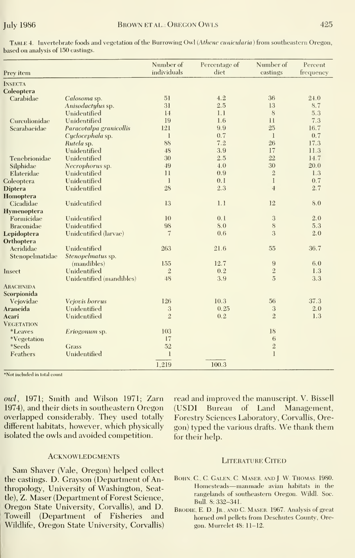| Prev item         |                          | Number of<br>individuals | Percentage of<br>diet | Number of<br>castings | Percent<br>frequency |
|-------------------|--------------------------|--------------------------|-----------------------|-----------------------|----------------------|
| <b>INSECTA</b>    |                          |                          |                       |                       |                      |
| Coleoptera        |                          |                          |                       |                       |                      |
| Carabidae         | Calosoma sp.             | 51                       | 4.2                   | 36                    | 24.0                 |
|                   | Anisodactylus sp.        | 31                       | 2.5                   | 13                    | 8.7                  |
|                   | Unidentified             | 14                       | 1.1                   | 8                     | 5.3                  |
| Curculionidae     | Unidentified             | 19                       | 1.6                   | 11                    | 7.3                  |
| Scarabaeidae      | Paracotalpa granicollis  | 121                      | 9.9                   | 25                    | 16.7                 |
|                   | Cyclocephala sp.         | $\mathbf{l}$             | 0.7                   | $\mathbf{1}$          | 0.7                  |
|                   | Rutela sp.               | 88                       | 7.2                   | 26                    | 17.3                 |
|                   | Unidentified             | 48                       | 3.9                   | 17                    | 11.3                 |
| Tenebrionidae     | Unidentified             | 30                       | 2.5                   | 22                    | 14.7                 |
| Silphidae         | Necrophorus sp.          | 49                       | 4.0                   | 30                    | 20.0                 |
| Elateridae        | Unidentified             | 11                       | 0.9                   | $\sqrt{2}$            | 1.3                  |
| Coleoptera        | Unidentified             | $\mathbf{1}$             | 0.1                   | $\mathbf{I}$          | 0.7                  |
| <b>Diptera</b>    | Unidentified             | 28                       | 2.3                   | $\overline{4}$        | 2.7                  |
| Homoptera         |                          |                          |                       |                       |                      |
| Cicadidae         | Unidentified             | 13                       | 1.1                   | 12                    | 8.0                  |
| Hymenoptera       |                          |                          |                       |                       |                      |
| Formicidae        | Unidentified             | 10                       | 0.1                   | 3                     | 2.0                  |
| Braconidae        | Unidentified             | 98                       | 8.0                   | 8                     | 5.3                  |
| Lepidoptera       | Unidentified (larvae)    | 7                        | 0.6                   | 3                     | 2.0                  |
| Orthoptera        |                          |                          |                       |                       |                      |
| Acrididae         | Unidentified             | 263                      | 21.6                  | 55                    | 36.7                 |
| Stenopelmatidae   | Stenopelmatus sp.        |                          |                       |                       |                      |
|                   | (mandibles)              | 155                      | 12.7                  | 9                     | 6.0                  |
| Insect            | Unidentified             | $\overline{2}$           | 0.2                   | $\frac{2}{5}$         | 1.3                  |
|                   | Unidentified (mandibles) | 48                       | 3.9                   |                       | 3.3                  |
| <b>ARACHNIDA</b>  |                          |                          |                       |                       |                      |
| Scorpionida       |                          |                          |                       |                       |                      |
| Vejovidae         | Vejovis boreus           | 126                      | 10.3                  | 56                    | 37.3                 |
| Araneida          | Unidentified             | $\sqrt{3}$               | 0.25                  | 3                     | 2.0                  |
| Acari             | Unidentified             | $\overline{2}$           | 0.2                   | $\overline{2}$        | 1.3                  |
| <b>VEGETATION</b> |                          |                          |                       |                       |                      |
| <i>*Leaves</i>    | Eriogonum sp.            | 103                      |                       | 18                    |                      |
| *Vegetation       |                          | 17                       |                       | 6                     |                      |
| *Seeds            | Grass                    | 52                       |                       | $\sqrt{2}$            |                      |
| Feathers          | Unidentified             | $\mathbf{l}$             |                       | $\mathbf{I}$          |                      |
|                   |                          | 1.919                    | 100.3                 |                       |                      |

TABLE 4. Invertebrate foods and vegetation of the Burrowing Owl (Athene cunicularia) from southeastern Oregon, based on analysis of 150 castings.

\*Not included in total count

owl, 1971; Smith and Wilson 1971; Zarn 1974), and their diets in southeastern Oregon overlapped considerably. They used totally different habitats, however, which physically isolated the owls and avoided competition.

#### **ACKNOWLEDGMENTS**

Sam Shaver (Vale, Oregon) helped collect the castings. D. Grayson (Department of Anthropology, University of Washington, Seattle), Z. Maser (Department of Forest Science, Oregon State University, Corvallis), and D. Toweill (Department of Fisheries and Wildlife, Oregon State University, Corvallis)

read and improved the manuscript. V. Bissell (USDI Bureau of Land Management, Forestry Sciences Laboratory, Corvallis, Oregon) typed the various drafts. We thank them for their help.

#### **LITERATURE CITED**

- BOHN, C., C. GALEN, C. MASER, AND J. W. THOMAS. 1980. Homesteads-manmade avian habitats in the rangelands of southeastern Oregon. Wildl. Soc. Bull. 8: 332-341.
- BRODIE, E. D., JR., AND C. MASER. 1967. Analysis of great horned owl pellets from Deschutes County, Oregon. Murrelet 48: 11-12.